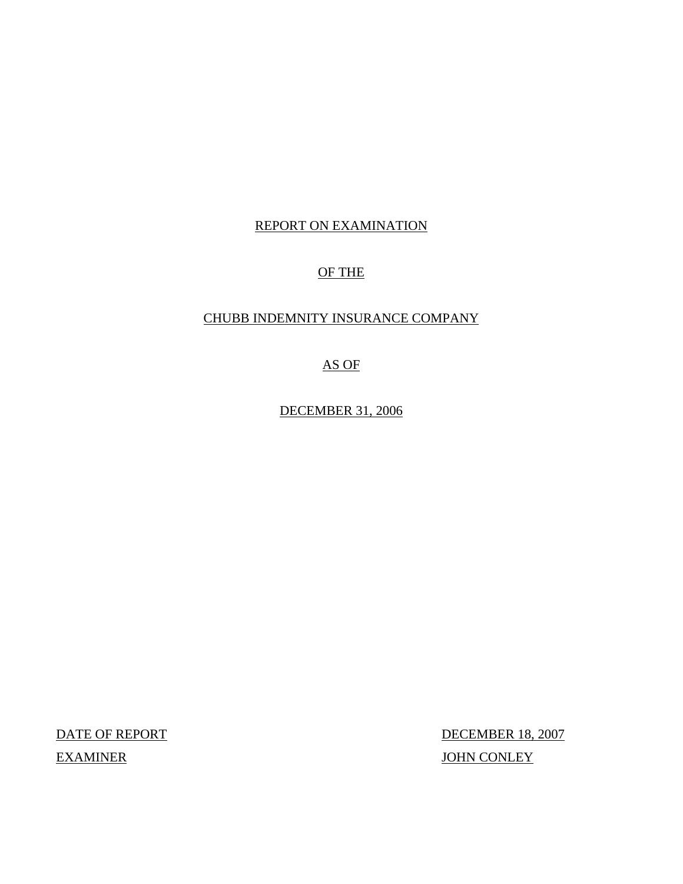## REPORT ON EXAMINATION

# OF THE

## CHUBB INDEMNITY INSURANCE COMPANY

AS OF

DECEMBER 31, 2006

DATE OF REPORT DECEMBER 18, 2007 EXAMINER JOHN CONLEY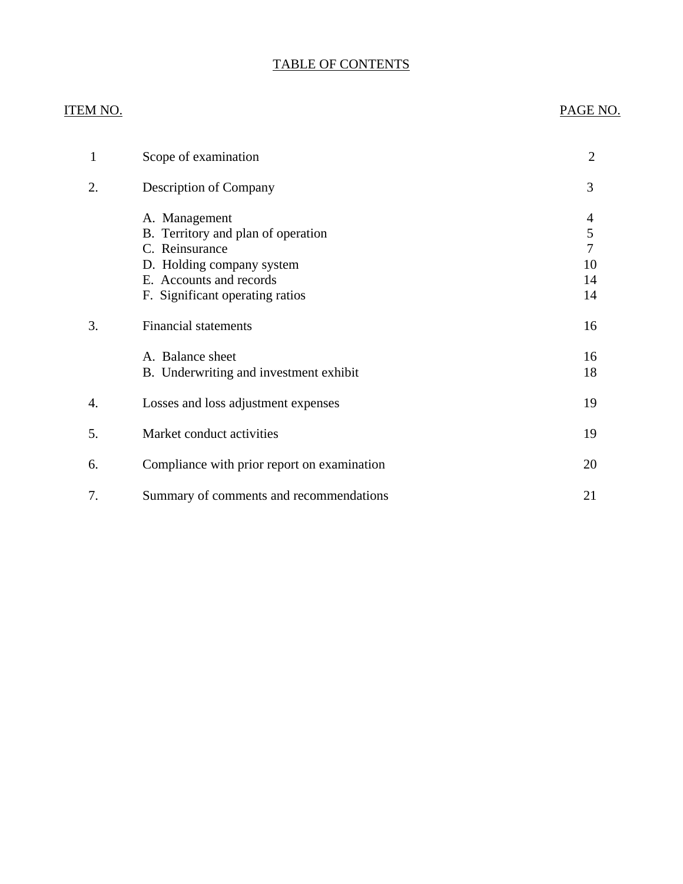# TABLE OF CONTENTS

#### ITEM NO. PAGE NO.

| 1  | Scope of examination                                                                                                                                             | $\overline{2}$                            |
|----|------------------------------------------------------------------------------------------------------------------------------------------------------------------|-------------------------------------------|
| 2. | Description of Company                                                                                                                                           | 3                                         |
|    | A. Management<br>B. Territory and plan of operation<br>C. Reinsurance<br>D. Holding company system<br>E. Accounts and records<br>F. Significant operating ratios | 4<br>$\mathfrak s$<br>7<br>10<br>14<br>14 |
| 3. | <b>Financial statements</b>                                                                                                                                      | 16                                        |
|    | A. Balance sheet<br>B. Underwriting and investment exhibit                                                                                                       | 16<br>18                                  |
| 4. | Losses and loss adjustment expenses                                                                                                                              | 19                                        |
| 5. | Market conduct activities                                                                                                                                        | 19                                        |
| 6. | Compliance with prior report on examination                                                                                                                      | 20                                        |
| 7. | Summary of comments and recommendations                                                                                                                          | 21                                        |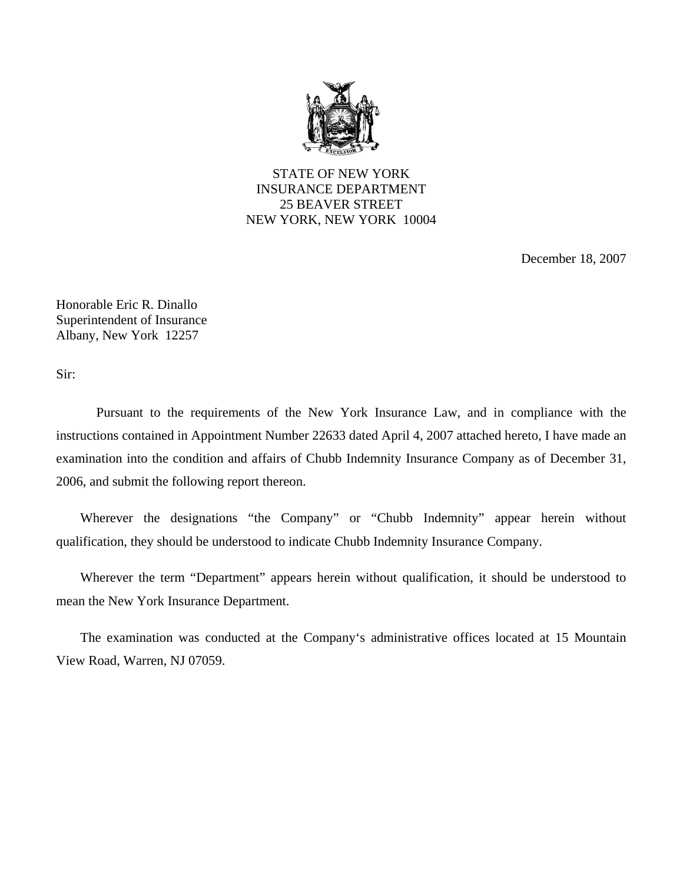

STATE OF NEW YORK INSURANCE DEPARTMENT 25 BEAVER STREET NEW YORK, NEW YORK 10004

December 18, 2007

Honorable Eric R. Dinallo Superintendent of Insurance Albany, New York 12257

Sir:

Pursuant to the requirements of the New York Insurance Law, and in compliance with the instructions contained in Appointment Number 22633 dated April 4, 2007 attached hereto, I have made an examination into the condition and affairs of Chubb Indemnity Insurance Company as of December 31, 2006, and submit the following report thereon.

Wherever the designations "the Company" or "Chubb Indemnity" appear herein without qualification, they should be understood to indicate Chubb Indemnity Insurance Company.

Wherever the term "Department" appears herein without qualification, it should be understood to mean the New York Insurance Department.

The examination was conducted at the Company's administrative offices located at 15 Mountain View Road, Warren, NJ 07059.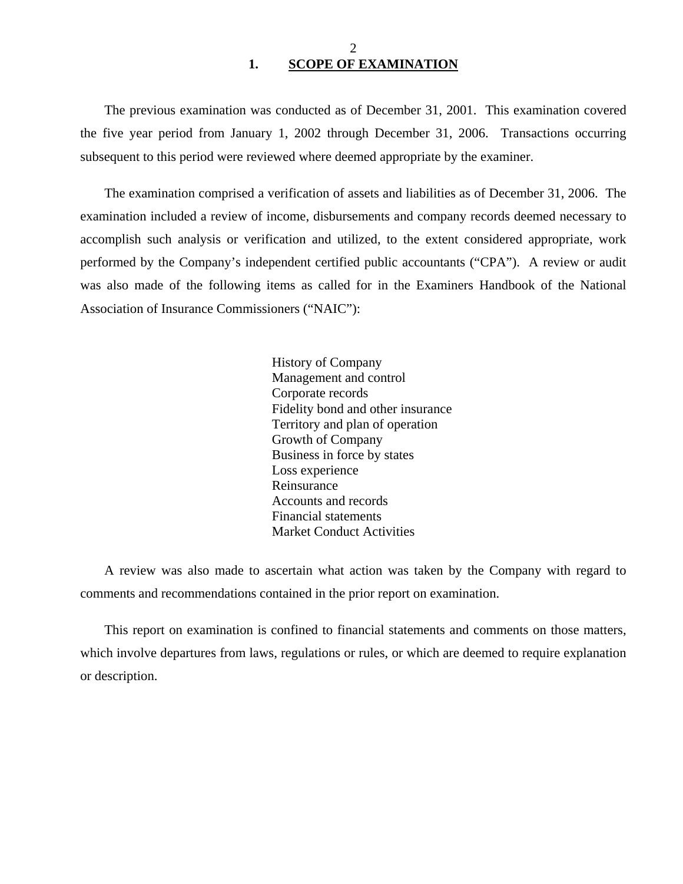<span id="page-3-0"></span>The previous examination was conducted as of December 31, 2001. This examination covered the five year period from January 1, 2002 through December 31, 2006. Transactions occurring subsequent to this period were reviewed where deemed appropriate by the examiner.

The examination comprised a verification of assets and liabilities as of December 31, 2006. The examination included a review of income, disbursements and company records deemed necessary to accomplish such analysis or verification and utilized, to the extent considered appropriate, work performed by the Company's independent certified public accountants ("CPA"). A review or audit was also made of the following items as called for in the Examiners Handbook of the National Association of Insurance Commissioners ("NAIC"):

> History of Company Management and control Corporate records Fidelity bond and other insurance Territory and plan of operation Growth of Company Business in force by states Loss experience Reinsurance Accounts and records Financial statements Market Conduct Activities

A review was also made to ascertain what action was taken by the Company with regard to comments and recommendations contained in the prior report on examination.

This report on examination is confined to financial statements and comments on those matters, which involve departures from laws, regulations or rules, or which are deemed to require explanation or description.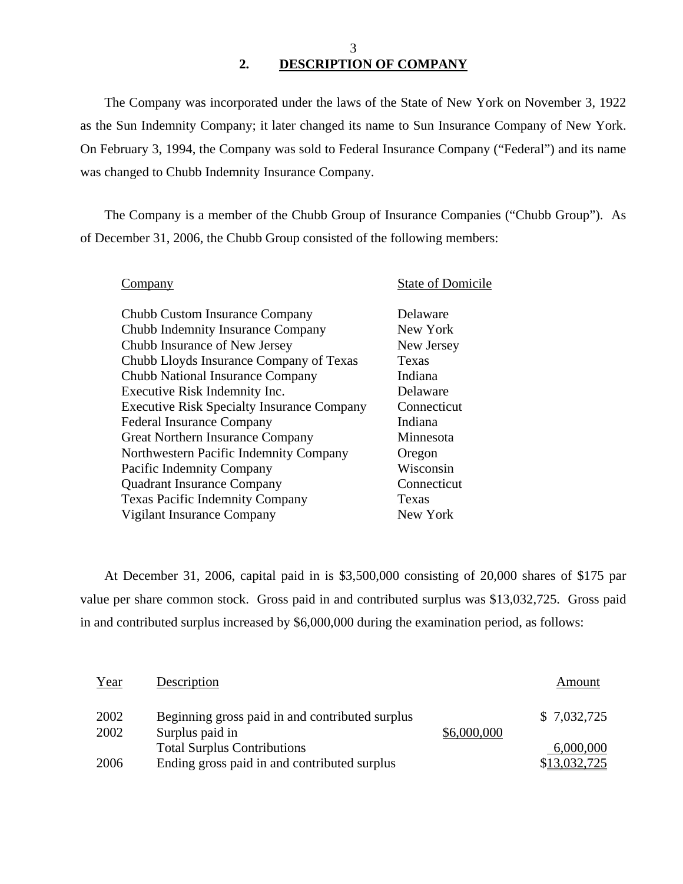3 **2. DESCRIPTION OF COMPANY** 

The Company was incorporated under the laws of the State of New York on November 3, 1922 as the Sun Indemnity Company; it later changed its name to Sun Insurance Company of New York. On February 3, 1994, the Company was sold to Federal Insurance Company ("Federal") and its name was changed to Chubb Indemnity Insurance Company.

The Company is a member of the Chubb Group of Insurance Companies ("Chubb Group"). As of December 31, 2006, the Chubb Group consisted of the following members:

| ompany                                            | <b>State of Domicile</b> |
|---------------------------------------------------|--------------------------|
| Chubb Custom Insurance Company                    | Delaware                 |
| Chubb Indemnity Insurance Company                 | New York                 |
| Chubb Insurance of New Jersey                     | New Jersey               |
| Chubb Lloyds Insurance Company of Texas           | Texas                    |
| Chubb National Insurance Company                  | Indiana                  |
| Executive Risk Indemnity Inc.                     | Delaware                 |
| <b>Executive Risk Specialty Insurance Company</b> | Connecticut              |
| <b>Federal Insurance Company</b>                  | Indiana                  |
| Great Northern Insurance Company                  | Minnesota                |
| Northwestern Pacific Indemnity Company            | Oregon                   |
| Pacific Indemnity Company                         | Wisconsin                |
| <b>Quadrant Insurance Company</b>                 | Connecticut              |
| <b>Texas Pacific Indemnity Company</b>            | Texas                    |
| Vigilant Insurance Company                        | New York                 |
|                                                   |                          |

At December 31, 2006, capital paid in is \$3,500,000 consisting of 20,000 shares of \$175 par value per share common stock. Gross paid in and contributed surplus was \$13,032,725. Gross paid in and contributed surplus increased by \$6,000,000 during the examination period, as follows:

| Year         | Description                                                        |             | Amount       |
|--------------|--------------------------------------------------------------------|-------------|--------------|
| 2002<br>2002 | Beginning gross paid in and contributed surplus<br>Surplus paid in | \$6,000,000 | \$7,032,725  |
|              | <b>Total Surplus Contributions</b>                                 |             | 6,000,000    |
| 2006         | Ending gross paid in and contributed surplus                       |             | \$13,032,725 |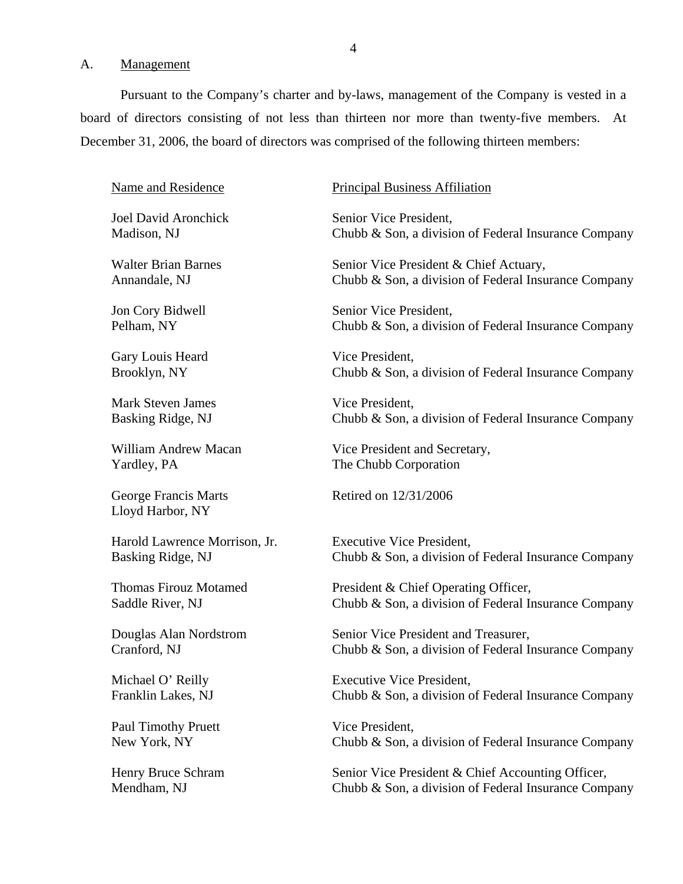#### <span id="page-5-0"></span>A. Management

Pursuant to the Company's charter and by-laws, management of the Company is vested in a board of directors consisting of not less than thirteen nor more than twenty-five members. At December 31, 2006, the board of directors was comprised of the following thirteen members:

Name and Residence

Joel David Aronchick Madison, NJ

Walter Brian Barnes Annandale, NJ

Jon Cory Bidwell Pelham, NY

Gary Louis Heard Brooklyn, NY

Mark Steven James Basking Ridge, NJ

William Andrew Macan Yardley, PA

George Francis Marts Lloyd Harbor, NY

Harold Lawrence Morrison, Jr. Basking Ridge, NJ

Thomas Firouz Motamed Saddle River, NJ

Douglas Alan Nordstrom Cranford, NJ

Michael O' Reilly Franklin Lakes, NJ

Paul Timothy Pruett New York, NY

Henry Bruce Schram Mendham, NJ

Principal Business Affiliation

Senior Vice President, Chubb & Son, a division of Federal Insurance Company

Senior Vice President & Chief Actuary, Chubb & Son, a division of Federal Insurance Company

Senior Vice President, Chubb & Son, a division of Federal Insurance Company

Vice President, Chubb & Son, a division of Federal Insurance Company

Vice President, Chubb & Son, a division of Federal Insurance Company

Vice President and Secretary, The Chubb Corporation

Retired on 12/31/2006

Executive Vice President, Chubb & Son, a division of Federal Insurance Company

President & Chief Operating Officer, Chubb & Son, a division of Federal Insurance Company

Senior Vice President and Treasurer, Chubb & Son, a division of Federal Insurance Company

Executive Vice President, Chubb & Son, a division of Federal Insurance Company

Vice President, Chubb & Son, a division of Federal Insurance Company

Senior Vice President & Chief Accounting Officer, Chubb & Son, a division of Federal Insurance Company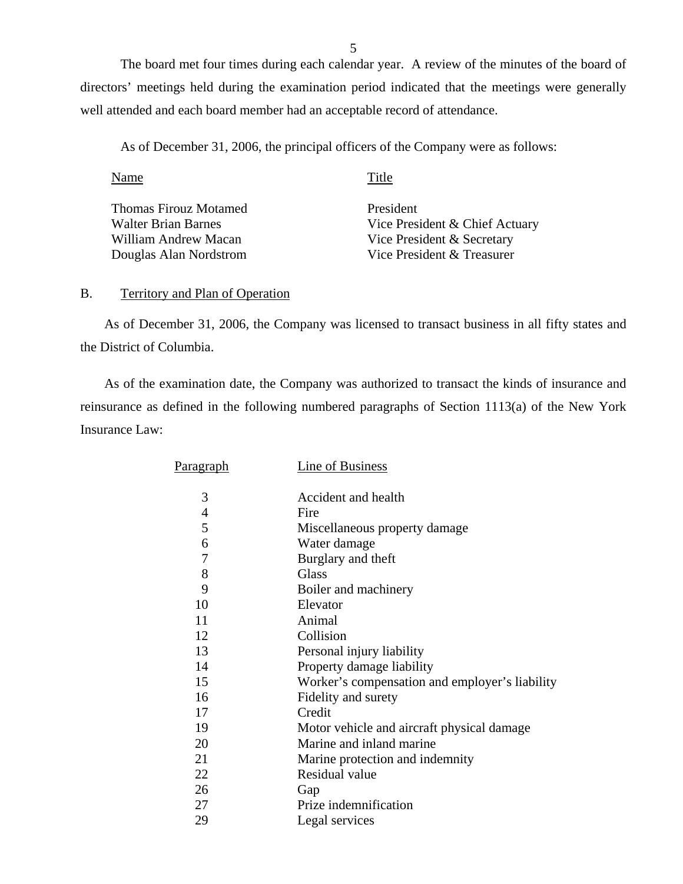The board met four times during each calendar year. A review of the minutes of the board of directors' meetings held during the examination period indicated that the meetings were generally well attended and each board member had an acceptable record of attendance.

As of December 31, 2006, the principal officers of the Company were as follows:

| Name                         | Title                          |
|------------------------------|--------------------------------|
| <b>Thomas Firouz Motamed</b> | President                      |
| <b>Walter Brian Barnes</b>   | Vice President & Chief Actuary |
| William Andrew Macan         | Vice President & Secretary     |
| Douglas Alan Nordstrom       | Vice President & Treasurer     |

#### B. Territory and Plan of Operation

As of December 31, 2006, the Company was licensed to transact business in all fifty states and the District of Columbia.

As of the examination date, the Company was authorized to transact the kinds of insurance and reinsurance as defined in the following numbered paragraphs of Section 1113(a) of the New York Insurance Law:

| Paragraph      | <b>Line of Business</b>                        |
|----------------|------------------------------------------------|
|                |                                                |
| 3              | Accident and health                            |
| $\overline{4}$ | Fire                                           |
| 5              | Miscellaneous property damage                  |
| 6              | Water damage                                   |
| $\overline{7}$ | Burglary and theft                             |
| 8              | Glass                                          |
| 9              | Boiler and machinery                           |
| 10             | Elevator                                       |
| 11             | Animal                                         |
| 12             | Collision                                      |
| 13             | Personal injury liability                      |
| 14             | Property damage liability                      |
| 15             | Worker's compensation and employer's liability |
| 16             | Fidelity and surety                            |
| 17             | Credit                                         |
| 19             | Motor vehicle and aircraft physical damage     |
| 20             | Marine and inland marine                       |
| 21             | Marine protection and indemnity                |
| 22             | Residual value                                 |
| 26             | Gap                                            |
| 27             | Prize indemnification                          |
| 29             | Legal services                                 |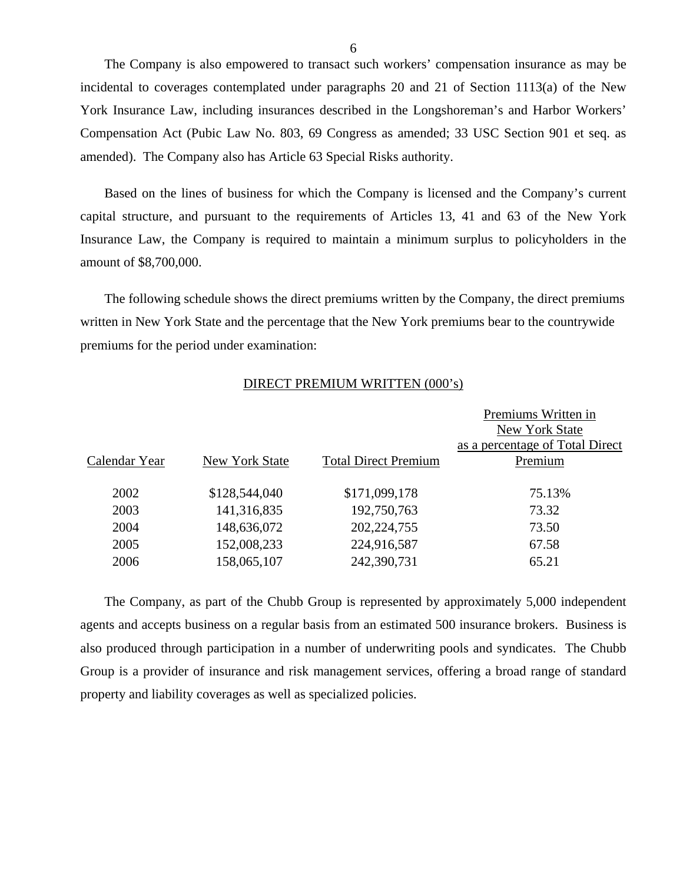The Company is also empowered to transact such workers' compensation insurance as may be incidental to coverages contemplated under paragraphs 20 and 21 of Section 1113(a) of the New York Insurance Law, including insurances described in the Longshoreman's and Harbor Workers' Compensation Act (Pubic Law No. 803, 69 Congress as amended; 33 USC Section 901 et seq. as amended). The Company also has Article 63 Special Risks authority.

Based on the lines of business for which the Company is licensed and the Company's current capital structure, and pursuant to the requirements of Articles 13, 41 and 63 of the New York Insurance Law, the Company is required to maintain a minimum surplus to policyholders in the amount of \$8,700,000.

The following schedule shows the direct premiums written by the Company, the direct premiums written in New York State and the percentage that the New York premiums bear to the countrywide premiums for the period under examination:

#### DIRECT PREMIUM WRITTEN (000's)

|               |                |                             | Premiums Written in<br>New York State<br>as a percentage of Total Direct |
|---------------|----------------|-----------------------------|--------------------------------------------------------------------------|
| Calendar Year | New York State | <b>Total Direct Premium</b> | Premium                                                                  |
| 2002          | \$128,544,040  | \$171,099,178               | 75.13%                                                                   |
| 2003          | 141,316,835    | 192,750,763                 | 73.32                                                                    |
| 2004          | 148,636,072    | 202, 224, 755               | 73.50                                                                    |
| 2005          | 152,008,233    | 224,916,587                 | 67.58                                                                    |
| 2006          | 158,065,107    | 242,390,731                 | 65.21                                                                    |
|               |                |                             |                                                                          |

The Company, as part of the Chubb Group is represented by approximately 5,000 independent agents and accepts business on a regular basis from an estimated 500 insurance brokers. Business is also produced through participation in a number of underwriting pools and syndicates. The Chubb Group is a provider of insurance and risk management services, offering a broad range of standard property and liability coverages as well as specialized policies.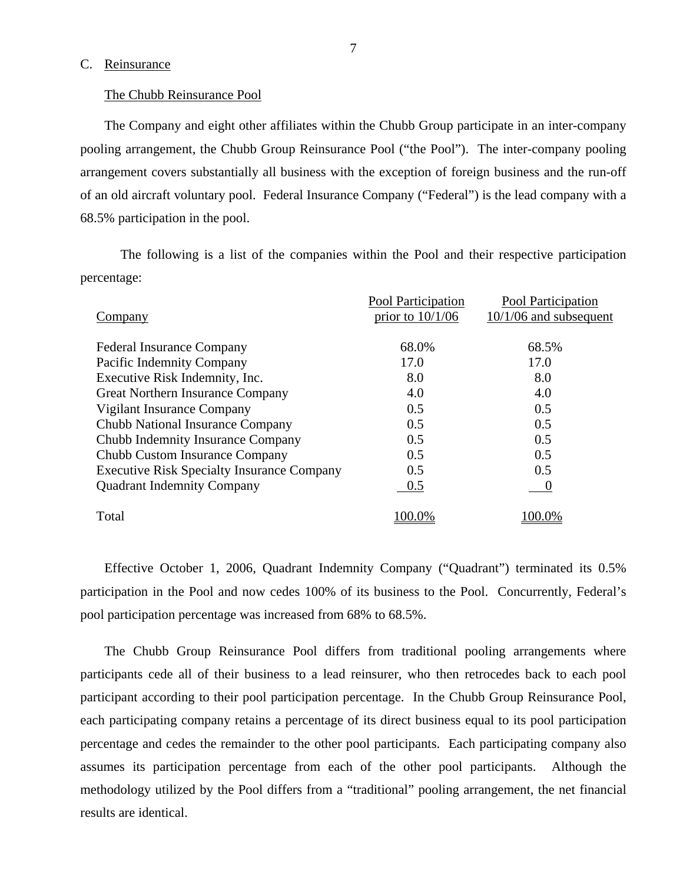#### <span id="page-8-0"></span>C. Reinsurance

#### The Chubb Reinsurance Pool

The Company and eight other affiliates within the Chubb Group participate in an inter-company pooling arrangement, the Chubb Group Reinsurance Pool ("the Pool"). The inter-company pooling arrangement covers substantially all business with the exception of foreign business and the run-off of an old aircraft voluntary pool. Federal Insurance Company ("Federal") is the lead company with a 68.5% participation in the pool.

The following is a list of the companies within the Pool and their respective participation percentage:

|                                                   | Pool Participation | Pool Participation       |
|---------------------------------------------------|--------------------|--------------------------|
| Company                                           | prior to $10/1/06$ | $10/1/06$ and subsequent |
|                                                   |                    |                          |
| <b>Federal Insurance Company</b>                  | 68.0%              | 68.5%                    |
| Pacific Indemnity Company                         | 17.0               | 17.0                     |
| Executive Risk Indemnity, Inc.                    | 8.0                | 8.0                      |
| <b>Great Northern Insurance Company</b>           | 4.0                | 4.0                      |
| Vigilant Insurance Company                        | 0.5                | 0.5                      |
| Chubb National Insurance Company                  | 0.5                | 0.5                      |
| Chubb Indemnity Insurance Company                 | 0.5                | 0.5                      |
| Chubb Custom Insurance Company                    | 0.5                | 0.5                      |
| <b>Executive Risk Specialty Insurance Company</b> | 0.5                | 0.5                      |
| <b>Quadrant Indemnity Company</b>                 | 0.5                |                          |
| Total                                             | 100.0%             | 00.0%                    |
|                                                   |                    |                          |

Effective October 1, 2006, Quadrant Indemnity Company ("Quadrant") terminated its 0.5% participation in the Pool and now cedes 100% of its business to the Pool. Concurrently, Federal's pool participation percentage was increased from 68% to 68.5%.

The Chubb Group Reinsurance Pool differs from traditional pooling arrangements where participants cede all of their business to a lead reinsurer, who then retrocedes back to each pool participant according to their pool participation percentage. In the Chubb Group Reinsurance Pool, each participating company retains a percentage of its direct business equal to its pool participation percentage and cedes the remainder to the other pool participants. Each participating company also assumes its participation percentage from each of the other pool participants. Although the methodology utilized by the Pool differs from a "traditional" pooling arrangement, the net financial results are identical.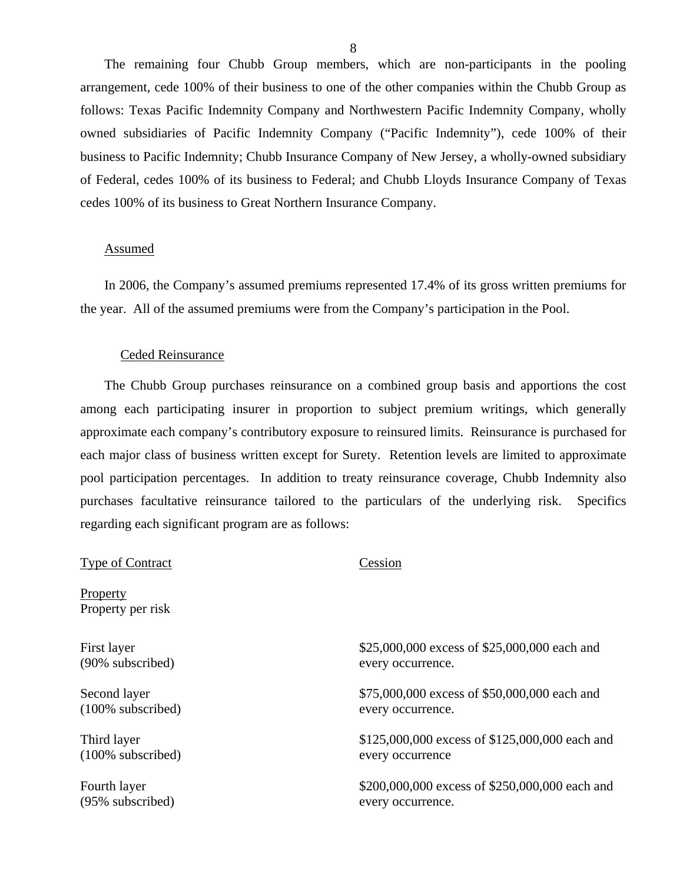The remaining four Chubb Group members, which are non-participants in the pooling arrangement, cede 100% of their business to one of the other companies within the Chubb Group as follows: Texas Pacific Indemnity Company and Northwestern Pacific Indemnity Company, wholly owned subsidiaries of Pacific Indemnity Company ("Pacific Indemnity"), cede 100% of their business to Pacific Indemnity; Chubb Insurance Company of New Jersey, a wholly-owned subsidiary of Federal, cedes 100% of its business to Federal; and Chubb Lloyds Insurance Company of Texas cedes 100% of its business to Great Northern Insurance Company.

#### Assumed

In 2006, the Company's assumed premiums represented 17.4% of its gross written premiums for the year. All of the assumed premiums were from the Company's participation in the Pool.

#### Ceded Reinsurance

The Chubb Group purchases reinsurance on a combined group basis and apportions the cost among each participating insurer in proportion to subject premium writings, which generally approximate each company's contributory exposure to reinsured limits. Reinsurance is purchased for each major class of business written except for Surety. Retention levels are limited to approximate pool participation percentages. In addition to treaty reinsurance coverage, Chubb Indemnity also purchases facultative reinsurance tailored to the particulars of the underlying risk. Specifics regarding each significant program are as follows:

| <b>Type of Contract</b>       | Cession                                        |
|-------------------------------|------------------------------------------------|
| Property<br>Property per risk |                                                |
| First layer                   | \$25,000,000 excess of \$25,000,000 each and   |
| (90% subscribed)              | every occurrence.                              |
| Second layer                  | \$75,000,000 excess of \$50,000,000 each and   |
| $(100\%$ subscribed)          | every occurrence.                              |
| Third layer                   | \$125,000,000 excess of \$125,000,000 each and |
| $(100\%$ subscribed)          | every occurrence                               |
| Fourth layer                  | \$200,000,000 excess of \$250,000,000 each and |
| (95% subscribed)              | every occurrence.                              |
|                               |                                                |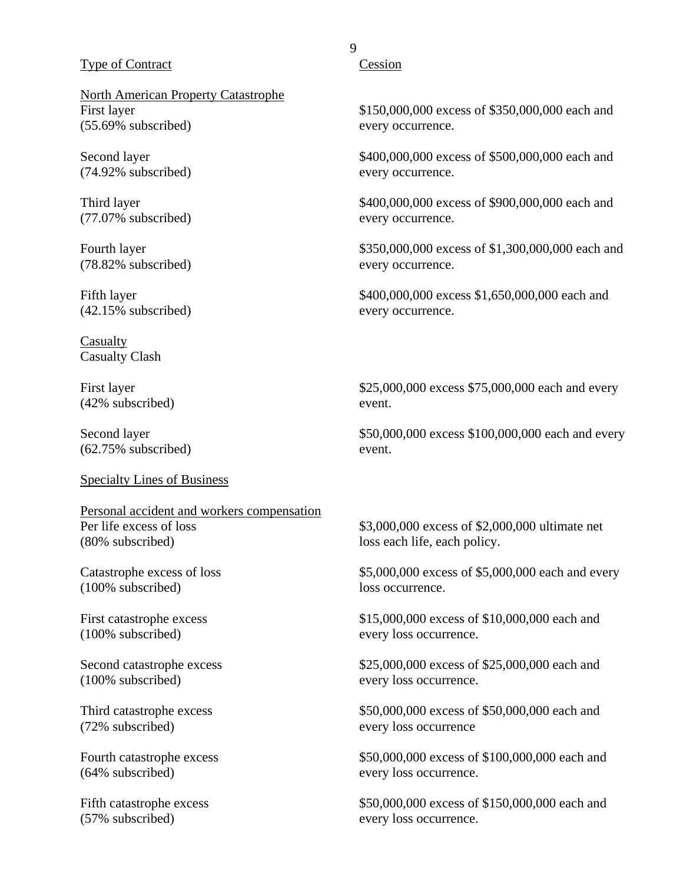#### Type of Contract

North American Property Catastrophe First layer (55.69% subscribed)

Second layer (74.92% subscribed)

Third layer (77.07% subscribed)

Fourth layer (78.82% subscribed)

Fifth layer (42.15% subscribed)

Casualty Casualty Clash

First layer (42% subscribed)

Second layer (62.75% subscribed)

#### Specialty Lines of Business

Personal accident and workers compensation Per life excess of loss (80% subscribed)

Catastrophe excess of loss (100% subscribed)

First catastrophe excess (100% subscribed)

Second catastrophe excess (100% subscribed)

Third catastrophe excess (72% subscribed)

Fourth catastrophe excess (64% subscribed)

Fifth catastrophe excess (57% subscribed)

### 9

**Cession** 

\$150,000,000 excess of \$350,000,000 each and every occurrence.

\$400,000,000 excess of \$500,000,000 each and every occurrence.

\$400,000,000 excess of \$900,000,000 each and every occurrence.

\$350,000,000 excess of \$1,300,000,000 each and every occurrence.

\$400,000,000 excess \$1,650,000,000 each and every occurrence.

\$25,000,000 excess \$75,000,000 each and every event.

\$50,000,000 excess \$100,000,000 each and every event.

\$3,000,000 excess of \$2,000,000 ultimate net loss each life, each policy.

\$5,000,000 excess of \$5,000,000 each and every loss occurrence.

\$15,000,000 excess of \$10,000,000 each and every loss occurrence.

\$25,000,000 excess of \$25,000,000 each and every loss occurrence.

\$50,000,000 excess of \$50,000,000 each and every loss occurrence

\$50,000,000 excess of \$100,000,000 each and every loss occurrence.

\$50,000,000 excess of \$150,000,000 each and every loss occurrence.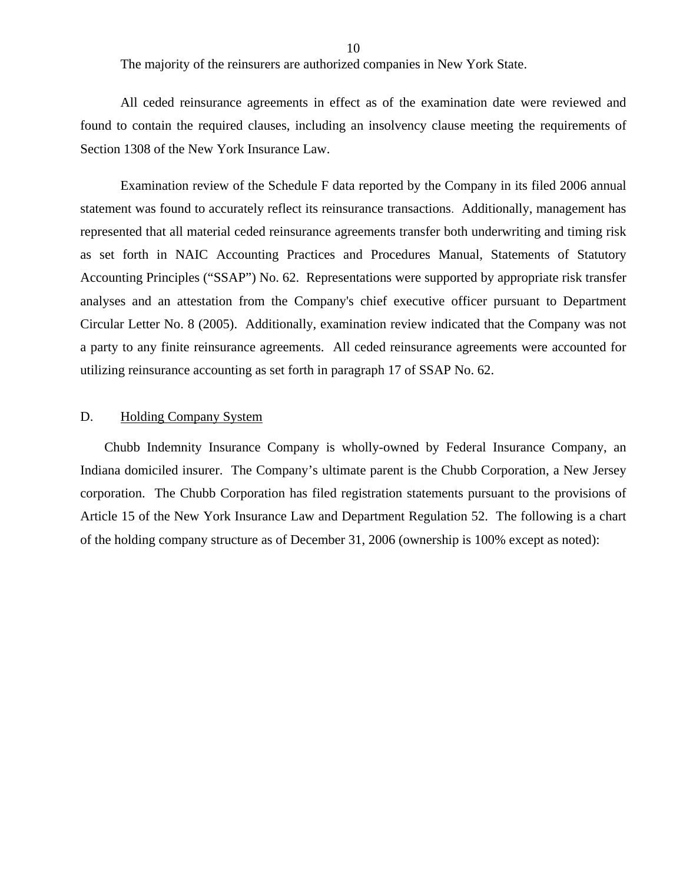The majority of the reinsurers are authorized companies in New York State.

<span id="page-11-0"></span>All ceded reinsurance agreements in effect as of the examination date were reviewed and found to contain the required clauses, including an insolvency clause meeting the requirements of Section 1308 of the New York Insurance Law.

Examination review of the Schedule F data reported by the Company in its filed 2006 annual statement was found to accurately reflect its reinsurance transactions. Additionally, management has represented that all material ceded reinsurance agreements transfer both underwriting and timing risk as set forth in NAIC Accounting Practices and Procedures Manual, Statements of Statutory Accounting Principles ("SSAP") No. 62. Representations were supported by appropriate risk transfer analyses and an attestation from the Company's chief executive officer pursuant to Department Circular Letter No. 8 (2005). Additionally, examination review indicated that the Company was not a party to any finite reinsurance agreements. All ceded reinsurance agreements were accounted for utilizing reinsurance accounting as set forth in paragraph 17 of SSAP No. 62.

#### D. Holding Company System

Chubb Indemnity Insurance Company is wholly-owned by Federal Insurance Company, an Indiana domiciled insurer. The Company's ultimate parent is the Chubb Corporation, a New Jersey corporation. The Chubb Corporation has filed registration statements pursuant to the provisions of Article 15 of the New York Insurance Law and Department Regulation 52. The following is a chart of the holding company structure as of December 31, 2006 (ownership is 100% except as noted):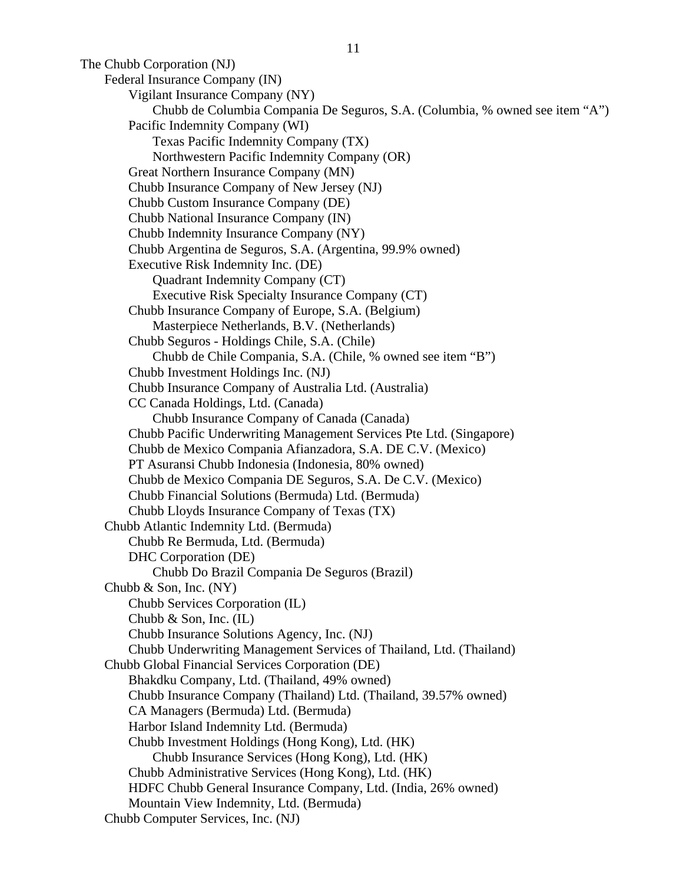The Chubb Corporation (NJ) Federal Insurance Company (IN) Vigilant Insurance Company (NY) Chubb de Columbia Compania De Seguros, S.A. (Columbia, % owned see item "A") Pacific Indemnity Company (WI) Texas Pacific Indemnity Company (TX) Northwestern Pacific Indemnity Company (OR) Great Northern Insurance Company (MN) Chubb Insurance Company of New Jersey (NJ) Chubb Custom Insurance Company (DE) Chubb National Insurance Company (IN) Chubb Indemnity Insurance Company (NY) Chubb Argentina de Seguros, S.A. (Argentina, 99.9% owned) Executive Risk Indemnity Inc. (DE) Quadrant Indemnity Company (CT) Executive Risk Specialty Insurance Company (CT) Chubb Insurance Company of Europe, S.A. (Belgium) Masterpiece Netherlands, B.V. (Netherlands) Chubb Seguros - Holdings Chile, S.A. (Chile) Chubb de Chile Compania, S.A. (Chile, % owned see item "B") Chubb Investment Holdings Inc. (NJ) Chubb Insurance Company of Australia Ltd. (Australia) CC Canada Holdings, Ltd. (Canada) Chubb Insurance Company of Canada (Canada) Chubb Pacific Underwriting Management Services Pte Ltd. (Singapore) Chubb de Mexico Compania Afianzadora, S.A. DE C.V. (Mexico) PT Asuransi Chubb Indonesia (Indonesia, 80% owned) Chubb de Mexico Compania DE Seguros, S.A. De C.V. (Mexico) Chubb Financial Solutions (Bermuda) Ltd. (Bermuda) Chubb Lloyds Insurance Company of Texas (TX) Chubb Atlantic Indemnity Ltd. (Bermuda) Chubb Re Bermuda, Ltd. (Bermuda) DHC Corporation (DE) Chubb Do Brazil Compania De Seguros (Brazil) Chubb & Son, Inc. (NY) Chubb Services Corporation (IL) Chubb & Son, Inc. (IL) Chubb Insurance Solutions Agency, Inc. (NJ) Chubb Underwriting Management Services of Thailand, Ltd. (Thailand) Chubb Global Financial Services Corporation (DE) Bhakdku Company, Ltd. (Thailand, 49% owned) Chubb Insurance Company (Thailand) Ltd. (Thailand, 39.57% owned) CA Managers (Bermuda) Ltd. (Bermuda) Harbor Island Indemnity Ltd. (Bermuda) Chubb Investment Holdings (Hong Kong), Ltd. (HK) Chubb Insurance Services (Hong Kong), Ltd. (HK) Chubb Administrative Services (Hong Kong), Ltd. (HK) HDFC Chubb General Insurance Company, Ltd. (India, 26% owned) Mountain View Indemnity, Ltd. (Bermuda) Chubb Computer Services, Inc. (NJ)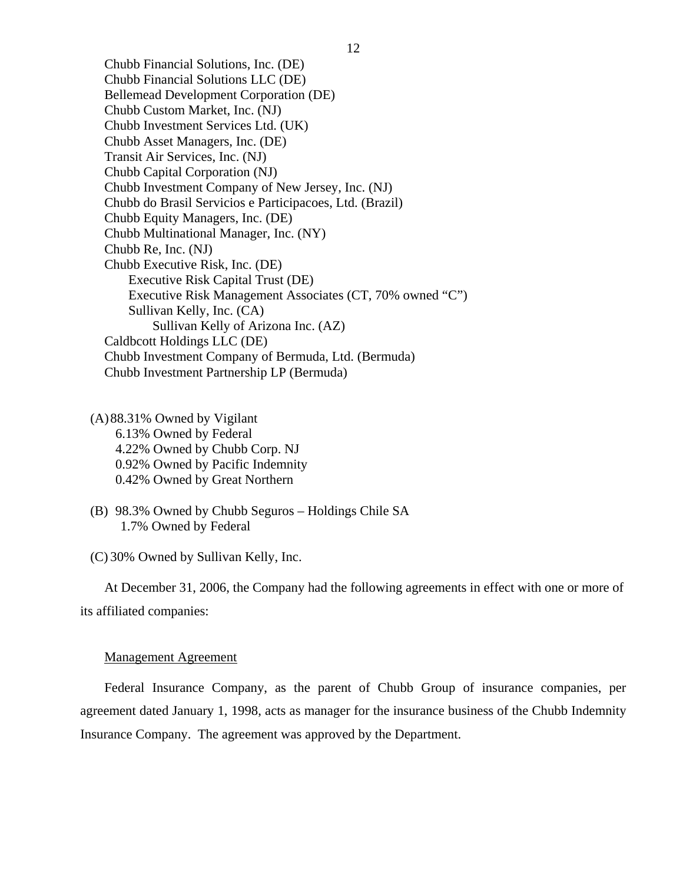Chubb Financial Solutions, Inc. (DE) Chubb Financial Solutions LLC (DE) Bellemead Development Corporation (DE) Chubb Custom Market, Inc. (NJ) Chubb Investment Services Ltd. (UK) Chubb Asset Managers, Inc. (DE) Transit Air Services, Inc. (NJ) Chubb Capital Corporation (NJ) Chubb Investment Company of New Jersey, Inc. (NJ) Chubb do Brasil Servicios e Participacoes, Ltd. (Brazil) Chubb Equity Managers, Inc. (DE) Chubb Multinational Manager, Inc. (NY) Chubb Re, Inc. (NJ) Chubb Executive Risk, Inc. (DE) Executive Risk Capital Trust (DE) Executive Risk Management Associates (CT, 70% owned "C") Sullivan Kelly, Inc. (CA) Sullivan Kelly of Arizona Inc. (AZ) Caldbcott Holdings LLC (DE) Chubb Investment Company of Bermuda, Ltd. (Bermuda) Chubb Investment Partnership LP (Bermuda)

(A)88.31% Owned by Vigilant 6.13% Owned by Federal 4.22% Owned by Chubb Corp. NJ 0.92% Owned by Pacific Indemnity 0.42% Owned by Great Northern

(B) 98.3% Owned by Chubb Seguros – Holdings Chile SA 1.7% Owned by Federal

(C) 30% Owned by Sullivan Kelly, Inc.

At December 31, 2006, the Company had the following agreements in effect with one or more of its affiliated companies:

#### Management Agreement

Federal Insurance Company, as the parent of Chubb Group of insurance companies, per agreement dated January 1, 1998, acts as manager for the insurance business of the Chubb Indemnity Insurance Company. The agreement was approved by the Department.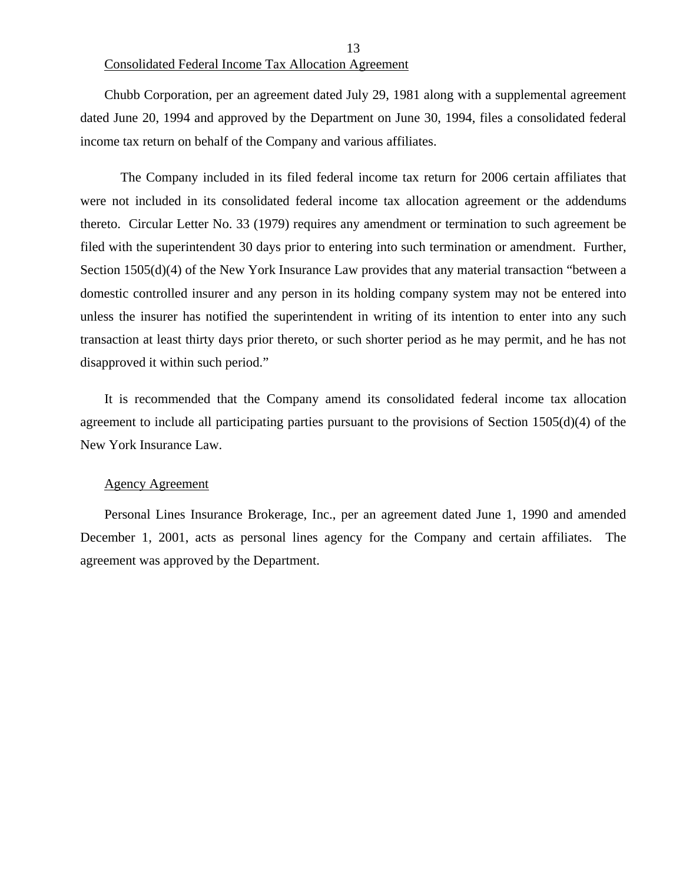#### 13 Consolidated Federal Income Tax Allocation Agreement

Chubb Corporation, per an agreement dated July 29, 1981 along with a supplemental agreement dated June 20, 1994 and approved by the Department on June 30, 1994, files a consolidated federal income tax return on behalf of the Company and various affiliates.

The Company included in its filed federal income tax return for 2006 certain affiliates that were not included in its consolidated federal income tax allocation agreement or the addendums thereto. Circular Letter No. 33 (1979) requires any amendment or termination to such agreement be filed with the superintendent 30 days prior to entering into such termination or amendment. Further, Section 1505(d)(4) of the New York Insurance Law provides that any material transaction "between a domestic controlled insurer and any person in its holding company system may not be entered into unless the insurer has notified the superintendent in writing of its intention to enter into any such transaction at least thirty days prior thereto, or such shorter period as he may permit, and he has not disapproved it within such period."

It is recommended that the Company amend its consolidated federal income tax allocation agreement to include all participating parties pursuant to the provisions of Section 1505(d)(4) of the New York Insurance Law.

#### Agency Agreement

Personal Lines Insurance Brokerage, Inc., per an agreement dated June 1, 1990 and amended December 1, 2001, acts as personal lines agency for the Company and certain affiliates. The agreement was approved by the Department.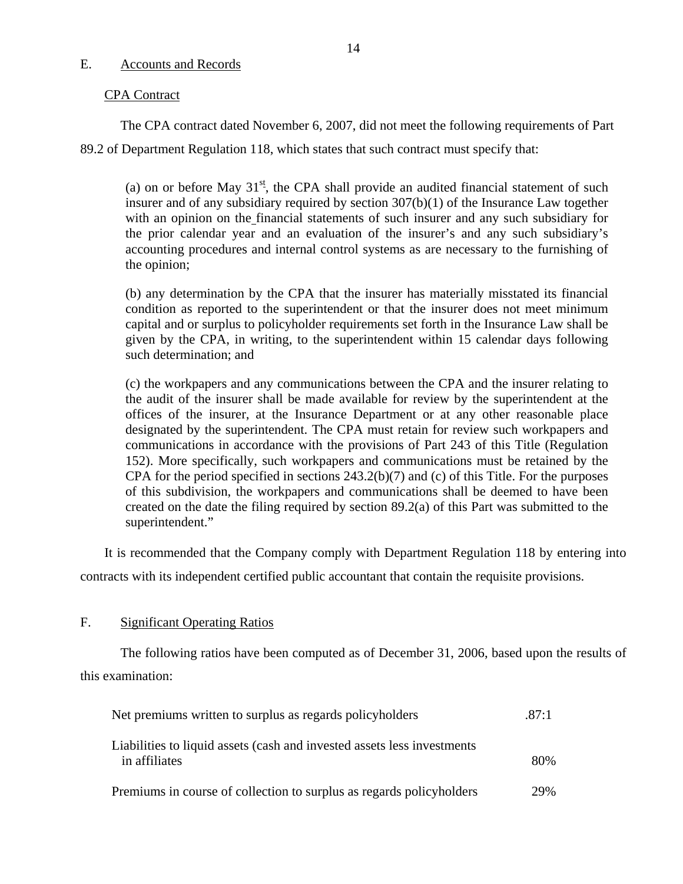#### <span id="page-15-0"></span>E. Accounts and Records

#### CPA Contract

The CPA contract dated November 6, 2007, did not meet the following requirements of Part 89.2 of Department Regulation 118, which states that such contract must specify that:

(a) on or before May  $31<sup>st</sup>$ , the CPA shall provide an audited financial statement of such insurer and of any subsidiary required by section 307(b)(1) of the Insurance Law together with an opinion on the financial statements of such insurer and any such subsidiary for the prior calendar year and an evaluation of the insurer's and any such subsidiary's accounting procedures and internal control systems as are necessary to the furnishing of the opinion;

(b) any determination by the CPA that the insurer has materially misstated its financial condition as reported to the superintendent or that the insurer does not meet minimum capital and or surplus to policyholder requirements set forth in the Insurance Law shall be given by the CPA, in writing, to the superintendent within 15 calendar days following such determination; and

(c) the workpapers and any communications between the CPA and the insurer relating to the audit of the insurer shall be made available for review by the superintendent at the offices of the insurer, at the Insurance Department or at any other reasonable place designated by the superintendent. The CPA must retain for review such workpapers and communications in accordance with the provisions of Part 243 of this Title (Regulation 152). More specifically, such workpapers and communications must be retained by the CPA for the period specified in sections 243.2(b)(7) and (c) of this Title. For the purposes of this subdivision, the workpapers and communications shall be deemed to have been created on the date the filing required by section 89.2(a) of this Part was submitted to the superintendent."

It is recommended that the Company comply with Department Regulation 118 by entering into contracts with its independent certified public accountant that contain the requisite provisions.

#### F. Significant Operating Ratios

The following ratios have been computed as of December 31, 2006, based upon the results of this examination:

| Net premiums written to surplus as regards policyholders                                 | .87:1 |
|------------------------------------------------------------------------------------------|-------|
| Liabilities to liquid assets (cash and invested assets less investments<br>in affiliates | 80%   |
| Premiums in course of collection to surplus as regards policyholders                     | 29%   |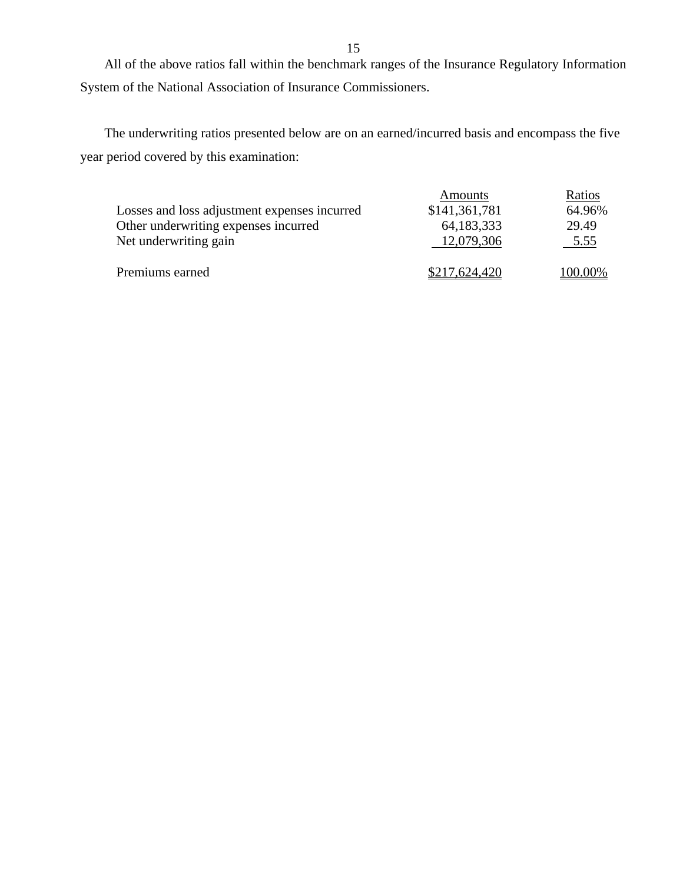All of the above ratios fall within the benchmark ranges of the Insurance Regulatory Information System of the National Association of Insurance Commissioners.

The underwriting ratios presented below are on an earned/incurred basis and encompass the five year period covered by this examination:

|                                              | Amounts       | Ratios  |
|----------------------------------------------|---------------|---------|
| Losses and loss adjustment expenses incurred | \$141,361,781 | 64.96%  |
| Other underwriting expenses incurred         | 64,183,333    | 29.49   |
| Net underwriting gain                        | 12,079,306    | 5.55    |
| Premiums earned                              | \$217,624,420 | 100.00% |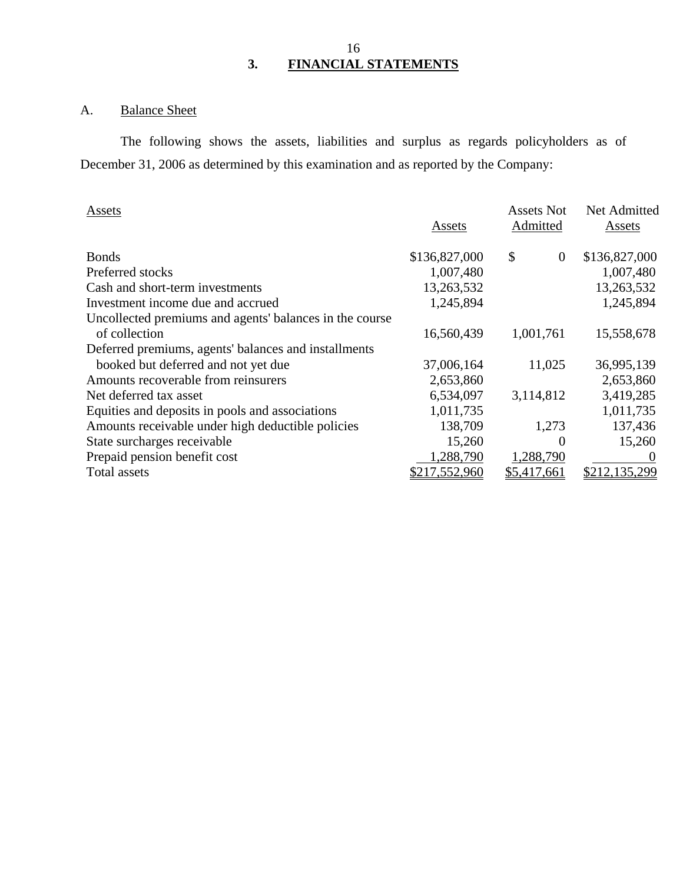### 16 **3. FINANCIAL STATEMENTS**

# A. Balance Sheet

The following shows the assets, liabilities and surplus as regards policyholders as of December 31, 2006 as determined by this examination and as reported by the Company:

| Assets                                                  |               | <b>Assets Not</b> | Net Admitted  |
|---------------------------------------------------------|---------------|-------------------|---------------|
|                                                         | Assets        | Admitted          | Assets        |
| <b>Bonds</b>                                            | \$136,827,000 | \$<br>$\theta$    | \$136,827,000 |
| Preferred stocks                                        | 1,007,480     |                   | 1,007,480     |
| Cash and short-term investments                         | 13,263,532    |                   | 13,263,532    |
| Investment income due and accrued                       | 1,245,894     |                   | 1,245,894     |
| Uncollected premiums and agents' balances in the course |               |                   |               |
| of collection                                           | 16,560,439    | 1,001,761         | 15,558,678    |
| Deferred premiums, agents' balances and installments    |               |                   |               |
| booked but deferred and not yet due                     | 37,006,164    | 11,025            | 36,995,139    |
| Amounts recoverable from reinsurers                     | 2,653,860     |                   | 2,653,860     |
| Net deferred tax asset                                  | 6,534,097     | 3,114,812         | 3,419,285     |
| Equities and deposits in pools and associations         | 1,011,735     |                   | 1,011,735     |
| Amounts receivable under high deductible policies       | 138,709       | 1,273             | 137,436       |
| State surcharges receivable                             | 15,260        | $\Omega$          | 15,260        |
| Prepaid pension benefit cost                            | 1,288,790     | 1,288,790         | $\theta$      |
| Total assets                                            | \$217,552,960 | \$5,417,661       | \$212,135,299 |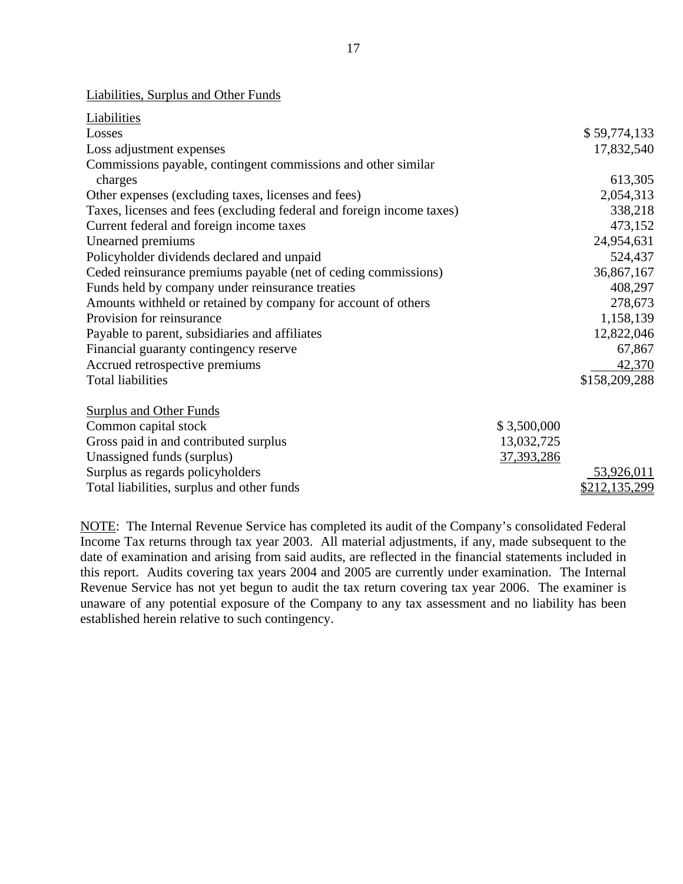|  |  |  | Liabilities, Surplus and Other Funds |
|--|--|--|--------------------------------------|
|--|--|--|--------------------------------------|

| Liabilities                                                           |              |               |
|-----------------------------------------------------------------------|--------------|---------------|
| Losses                                                                |              | \$59,774,133  |
| Loss adjustment expenses                                              |              | 17,832,540    |
| Commissions payable, contingent commissions and other similar         |              |               |
| charges                                                               |              | 613,305       |
| Other expenses (excluding taxes, licenses and fees)                   |              | 2,054,313     |
| Taxes, licenses and fees (excluding federal and foreign income taxes) |              | 338,218       |
| Current federal and foreign income taxes                              |              | 473,152       |
| Unearned premiums                                                     |              | 24,954,631    |
| Policyholder dividends declared and unpaid                            |              | 524,437       |
| Ceded reinsurance premiums payable (net of ceding commissions)        |              | 36,867,167    |
| Funds held by company under reinsurance treaties                      |              | 408,297       |
| Amounts withheld or retained by company for account of others         |              | 278,673       |
| Provision for reinsurance                                             |              | 1,158,139     |
| Payable to parent, subsidiaries and affiliates                        |              | 12,822,046    |
| Financial guaranty contingency reserve                                |              | 67,867        |
| Accrued retrospective premiums                                        |              | 42,370        |
| <b>Total liabilities</b>                                              |              | \$158,209,288 |
| <b>Surplus and Other Funds</b>                                        |              |               |
| Common capital stock                                                  | \$3,500,000  |               |
| Gross paid in and contributed surplus                                 | 13,032,725   |               |
| Unassigned funds (surplus)                                            | 37, 393, 286 |               |
| Surplus as regards policyholders                                      |              | 53,926,011    |
| Total liabilities, surplus and other funds                            |              | \$212,135,299 |

NOTE: The Internal Revenue Service has completed its audit of the Company's consolidated Federal Income Tax returns through tax year 2003. All material adjustments, if any, made subsequent to the date of examination and arising from said audits, are reflected in the financial statements included in this report. Audits covering tax years 2004 and 2005 are currently under examination. The Internal Revenue Service has not yet begun to audit the tax return covering tax year 2006. The examiner is unaware of any potential exposure of the Company to any tax assessment and no liability has been established herein relative to such contingency.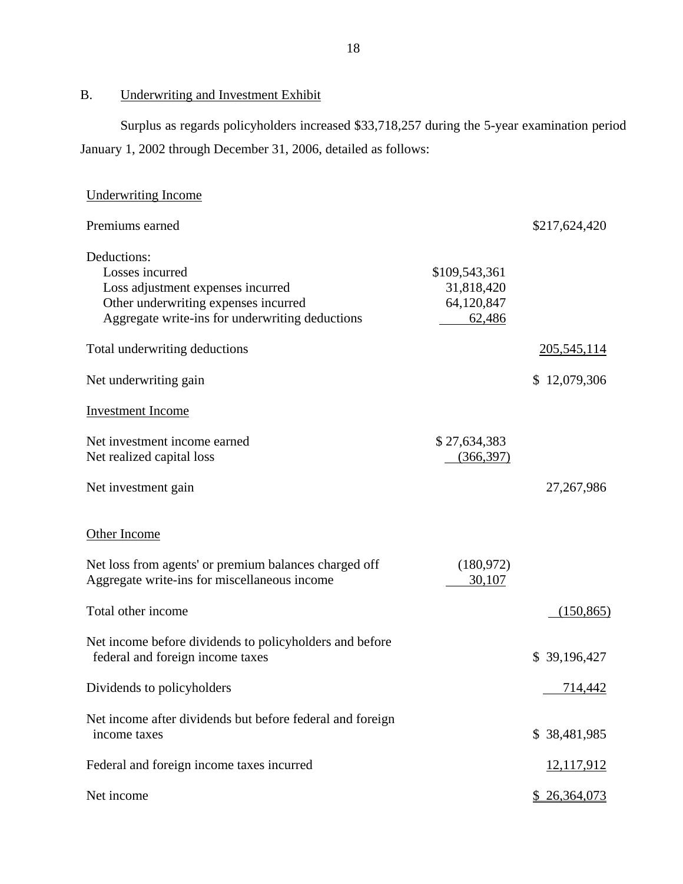B. Underwriting and Investment Exhibit

Surplus as regards policyholders increased \$33,718,257 during the 5-year examination period January 1, 2002 through December 31, 2006, detailed as follows:

| <b>Underwriting Income</b>                                                                                                                                     |                                                     |                |
|----------------------------------------------------------------------------------------------------------------------------------------------------------------|-----------------------------------------------------|----------------|
| Premiums earned                                                                                                                                                |                                                     | \$217,624,420  |
| Deductions:<br>Losses incurred<br>Loss adjustment expenses incurred<br>Other underwriting expenses incurred<br>Aggregate write-ins for underwriting deductions | \$109,543,361<br>31,818,420<br>64,120,847<br>62,486 |                |
| Total underwriting deductions                                                                                                                                  |                                                     | 205, 545, 114  |
| Net underwriting gain                                                                                                                                          |                                                     | \$12,079,306   |
| <b>Investment Income</b>                                                                                                                                       |                                                     |                |
| Net investment income earned<br>Net realized capital loss                                                                                                      | \$27,634,383<br>(366, 397)                          |                |
| Net investment gain                                                                                                                                            |                                                     | 27, 267, 986   |
| Other Income<br>Net loss from agents' or premium balances charged off                                                                                          | (180, 972)                                          |                |
| Aggregate write-ins for miscellaneous income                                                                                                                   | 30,107                                              |                |
| Total other income                                                                                                                                             |                                                     | (150, 865)     |
| Net income before dividends to policyholders and before<br>federal and foreign income taxes                                                                    |                                                     | \$39,196,427   |
| Dividends to policyholders                                                                                                                                     |                                                     | <u>714,442</u> |
| Net income after dividends but before federal and foreign<br>income taxes                                                                                      |                                                     | \$38,481,985   |
| Federal and foreign income taxes incurred                                                                                                                      |                                                     | 12,117,912     |
| Net income                                                                                                                                                     |                                                     | \$26,364,073   |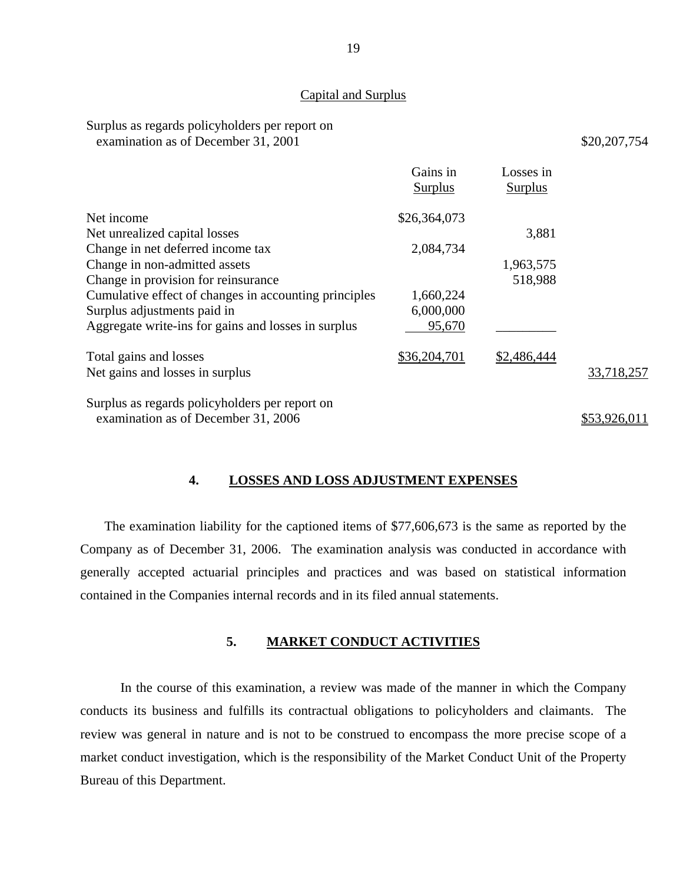#### Capital and Surplus

#### Surplus as regards policyholders per report on examination as of December 31, 2001 \$20,207,754

|                                                       | Gains in<br>Surplus | Losses in<br>Surplus |              |
|-------------------------------------------------------|---------------------|----------------------|--------------|
| Net income                                            | \$26,364,073        |                      |              |
| Net unrealized capital losses                         |                     | 3,881                |              |
| Change in net deferred income tax                     | 2,084,734           |                      |              |
| Change in non-admitted assets                         |                     | 1,963,575            |              |
| Change in provision for reinsurance                   |                     | 518,988              |              |
| Cumulative effect of changes in accounting principles | 1,660,224           |                      |              |
| Surplus adjustments paid in                           | 6,000,000           |                      |              |
| Aggregate write-ins for gains and losses in surplus   | 95,670              |                      |              |
| Total gains and losses                                | \$36,204,701        | \$2,486,444          |              |
| Net gains and losses in surplus                       |                     |                      | 33,718,257   |
| Surplus as regards policyholders per report on        |                     |                      |              |
| examination as of December 31, 2006                   |                     |                      | \$53,926,011 |

#### **4. LOSSES AND LOSS ADJUSTMENT EXPENSES**

The examination liability for the captioned items of \$77,606,673 is the same as reported by the Company as of December 31, 2006. The examination analysis was conducted in accordance with generally accepted actuarial principles and practices and was based on statistical information contained in the Companies internal records and in its filed annual statements.

### **5. MARKET CONDUCT ACTIVITIES**

In the course of this examination, a review was made of the manner in which the Company conducts its business and fulfills its contractual obligations to policyholders and claimants. The review was general in nature and is not to be construed to encompass the more precise scope of a market conduct investigation, which is the responsibility of the Market Conduct Unit of the Property Bureau of this Department.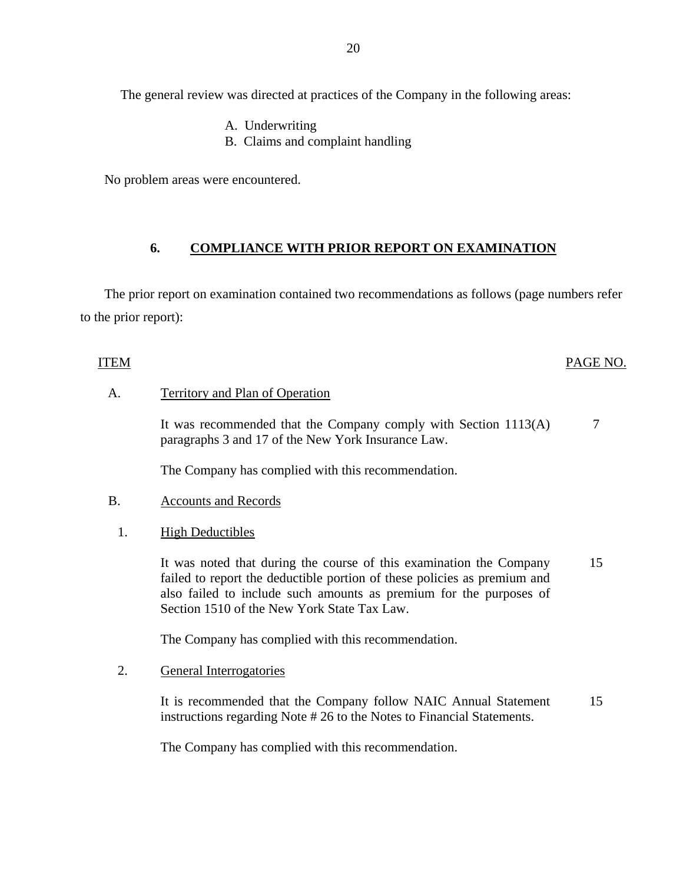The general review was directed at practices of the Company in the following areas:

- A. Underwriting
- B. Claims and complaint handling

No problem areas were encountered.

### **6. COMPLIANCE WITH PRIOR REPORT ON EXAMINATION**

The prior report on examination contained two recommendations as follows (page numbers refer to the prior report):

#### ITEM PAGE NO.

### A. Territory and Plan of Operation

It was recommended that the Company comply with Section 1113(A) paragraphs 3 and 17 of the New York Insurance Law. 7

The Company has complied with this recommendation.

#### B. Accounts and Records

1. High Deductibles

It was noted that during the course of this examination the Company failed to report the deductible portion of these policies as premium and also failed to include such amounts as premium for the purposes of Section 1510 of the New York State Tax Law. 15

The Company has complied with this recommendation.

#### 2. General Interrogatories

It is recommended that the Company follow NAIC Annual Statement instructions regarding Note # 26 to the Notes to Financial Statements. 15

The Company has complied with this recommendation.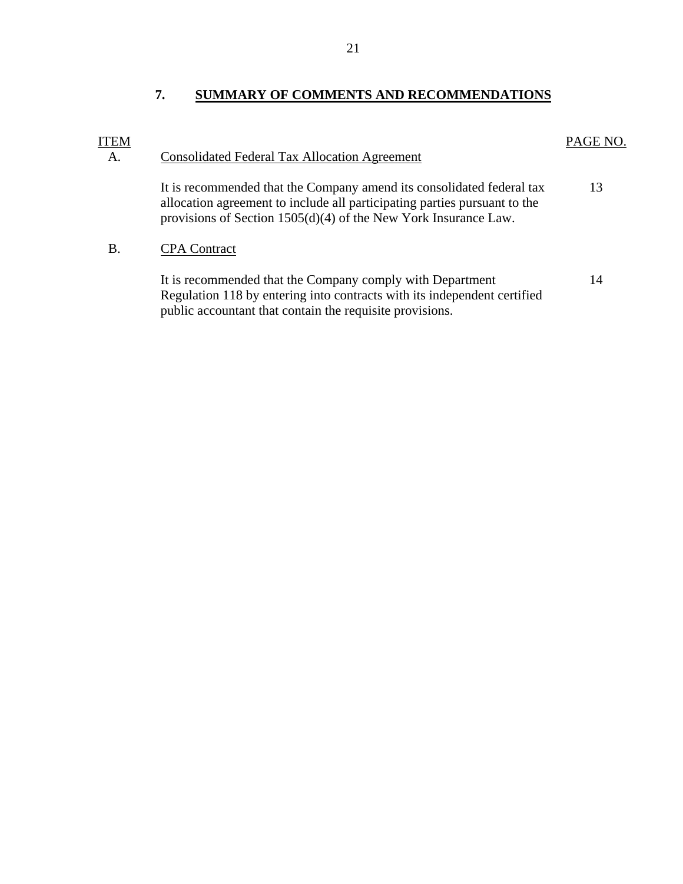<span id="page-22-0"></span>

| ITEM<br>A. | <b>Consolidated Federal Tax Allocation Agreement</b>                                                                                                                                                                    | PAGE NO. |
|------------|-------------------------------------------------------------------------------------------------------------------------------------------------------------------------------------------------------------------------|----------|
|            | It is recommended that the Company amend its consolidated federal tax<br>allocation agreement to include all participating parties pursuant to the<br>provisions of Section $1505(d)(4)$ of the New York Insurance Law. | 13       |
| В.         | <b>CPA</b> Contract                                                                                                                                                                                                     |          |
|            | It is recommended that the Company comply with Department<br>Regulation 118 by entering into contracts with its independent certified<br>public accountant that contain the requisite provisions.                       | 14       |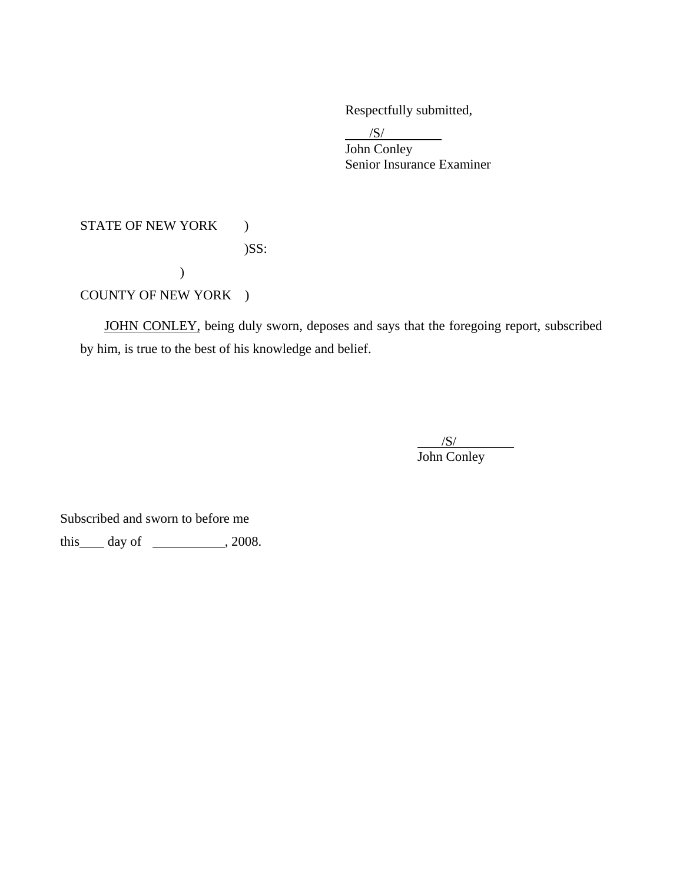Respectfully submitted,

 $\frac{1}{\sqrt{S}}$  John Conley Senior Insurance Examiner

# STATE OF NEW YORK ) )SS: ) COUNTY OF NEW YORK )

 JOHN CONLEY, being duly sworn, deposes and says that the foregoing report, subscribed by him, is true to the best of his knowledge and belief.

 $\overline{\phantom{a}}$ /S/ John Conley

Subscribed and sworn to before me

this  $\_\$  day of  $\_\_\_\_\_$ , 2008.